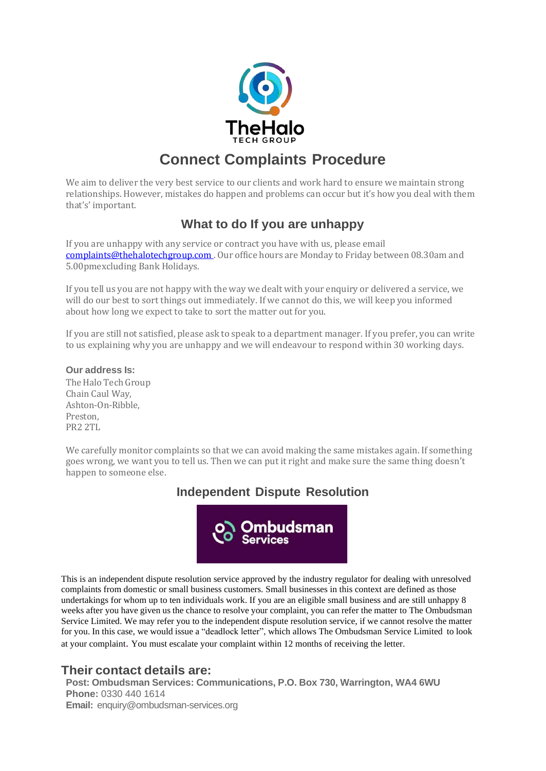

# **Connect Complaints Procedure**

We aim to deliver the very best service to our clients and work hard to ensure we maintain strong relationships. However, mistakes do happen and problems can occur but it's how you deal with them that's' important.

## **What to do If you are unhappy**

If you are unhappy with any service or contract you have with us, please email [complaints@thehalotechgroup.com](mailto:complaints@thehalotechgroup.com) . Our office hours are Monday to Friday between 08.30am and 5.00pmexcluding Bank Holidays.

If you tell us you are not happy with the way we dealt with your enquiry or delivered a service, we will do our best to sort things out immediately. If we cannot do this, we will keep you informed about how long we expect to take to sort the matter out for you.

If you are still not satisfied, please ask to speak to a department manager. If you prefer, you can write to us explaining why you are unhappy and we will endeavour to respond within 30 working days.

#### **Our address Is:**

The Halo Tech Group Chain Caul Way, Ashton-On-Ribble, Preston, PR2 2TL

We carefully monitor complaints so that we can avoid making the same mistakes again. If something goes wrong, we want you to tell us. Then we can put it right and make sure the same thing doesn't happen to someone else.

### **Independent Dispute Resolution**



This is an independent dispute resolution service approved by the industry regulator for dealing with unresolved complaints from domestic or small business customers. Small businesses in this context are defined as those undertakings for whom up to ten individuals work. If you are an eligible small business and are still unhappy 8 weeks after you have given us the chance to resolve your complaint, you can refer the matter to The Ombudsman Service Limited. We may refer you to the independent dispute resolution service, if we cannot resolve the matter for you. In this case, we would issue a "deadlock letter", which allows The Ombudsman Service Limited to look at your complaint. You must escalate your complaint within 12 months of receiving the letter.

### **Their contact details are:**

**Post: Ombudsman Services: Communications, P.O. Box 730, Warrington, WA4 6WU Phone:** 0330 440 1614 **Email:** [enquiry@ombudsman-services.org](mailto:enquiry@ombudsman-services.org)